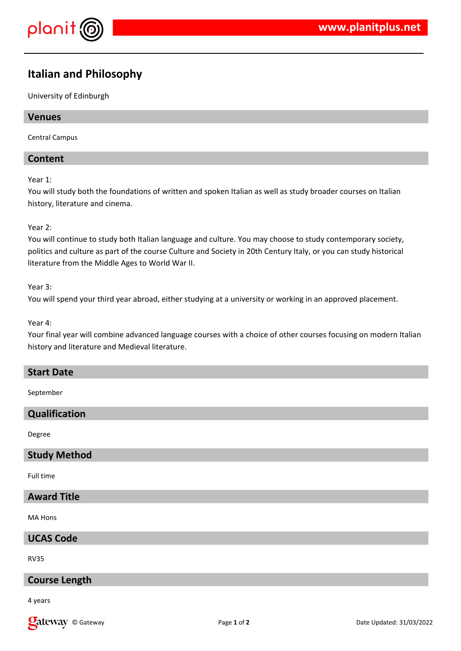

# **Italian and Philosophy**

University of Edinburgh

## **Venues**

Central Campus

# **Content**

Year 1:

You will study both the foundations of written and spoken Italian as well as study broader courses on Italian history, literature and cinema.

## Year 2:

You will continue to study both Italian language and culture. You may choose to study contemporary society, politics and culture as part of the course Culture and Society in 20th Century Italy, or you can study historical literature from the Middle Ages to World War II.

## Year 3:

You will spend your third year abroad, either studying at a university or working in an approved placement.

## Year 4:

Your final year will combine advanced language courses with a choice of other courses focusing on modern Italian history and literature and Medieval literature.

## **Start Date**

September

# **Qualification**

Degree

## **Study Method**

Full time

# **Award Title**

MA Hons

## **UCAS Code**

RV35

## **Course Length**

4 years